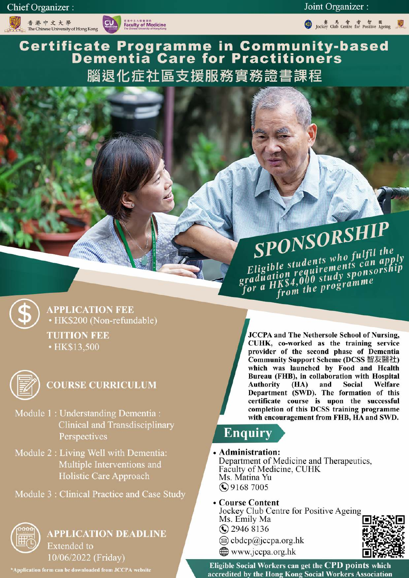香港中文大學<br>The Chinese University of Hong Kong



Joint Organizer :

● Jockey Club Centre for Positive Ageing

**Certificate Programme in Community-based<br>Dementia Care for Practitioners** 腦退化症社區支援服務實務證書課程

> SPONSORSHIP Eligible students who fulfil the graduation requirements can apply for a HK\$4,000 study sponsorship from the programme



**APPLICATION FEE** • HK\$200 (Non-refundable) **TUITION FEE** • HK\$13,500



# **COURSE CURRICULUM**

- Module 1: Understanding Dementia: **Clinical and Transdisciplinary** Perspectives
- Module 2 : Living Well with Dementia: Multiple Interventions and **Holistic Care Approach**
- Module 3 : Clinical Practice and Case Study



**APPLICATION DEADLINE Extended** to 10/06/2022 (Friday)

\*Application form can be downloaded from JCCPA website

**JCCPA and The Nethersole School of Nursing,** CUHK, co-worked as the training service provider of the second phase of Dementia Community Support Scheme (DCSS 智友醫社) which was launched by Food and Health Bureau (FHB), in collaboration with Hospital **Authority**  $(HA)$ and Social Welfare Department (SWD). The formation of this certificate course is upon the successful completion of this DCSS training programme with encouragement from FHB, HA and SWD.

# **Enquiry**

# • Administration:

Department of Medicine and Therapeutics, Faculty of Medicine, CUHK Ms. Matina Yu  $\bigodot$  9168 7005

# • Course Content

Jockey Club Centre for Positive Ageing Ms. Emily Ma **C** 2946 8136

- $\circledR$  cbdcp $\circledR$ jccpa.org.hk
- www.jccpa.org.hk



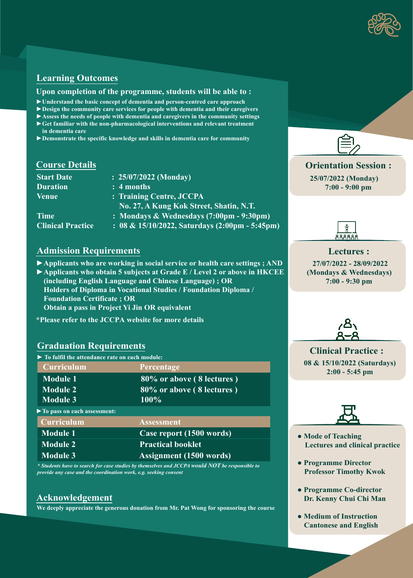

# **Learning Outcomes**

#### **Upon completion of the programme, students will be able to :**

- **►Understand the basic concept of dementia and person-centred care approach**
- **►Design the community care services for people with dementia and their caregivers**
- **►Assess the needs of people with dementia and caregivers in the community settings**
- **►Get familiar with the non-pharmacological interventions and relevant treatment in dementia care**
- **►Demonstrate the specific knowledge and skills in dementia care for community**

# **Course Details**

| : $25/07/2022$ (Monday)                                          |
|------------------------------------------------------------------|
| : 4 months                                                       |
| : Training Centre, JCCPA                                         |
| No. 27, A Kung Kok Street, Shatin, N.T.                          |
| : Mondays & Wednesdays (7:00pm - 9:30pm)                         |
| : 08 & 15/10/2022, Saturdays $(2:00 \text{pm} - 5:45 \text{pm})$ |
|                                                                  |

# **Admission Requirements**

**►Applicants who are working in social service or health care settings ; AND**

- **►Applicants who obtain 5 subjects at Grade E / Level 2 or above in HKCEE (including English Language and Chinese Language) ; OR Holders of Diploma in Vocational Studies / Foundation Diploma / Foundation Certificate ; OR Obtain a pass in Project Yi Jin OR equivalent**
- **\*Please refer to the JCCPA website for more details**

# **Graduation Requirements**

**► To fulfil the attendance rate on each module:**

| Curriculum                    | Percentage                     |
|-------------------------------|--------------------------------|
| <b>Module 1</b>               | 80% or above (8 lectures)      |
| Module 2                      | 80% or above (8 lectures)      |
| <b>Module 3</b>               | 100%                           |
| ▶ To pass on each assessment: |                                |
| Curriculum                    | <b>Assessment</b>              |
| <b>Module 1</b>               | Case report (1500 words)       |
| <b>Module 2</b>               | <b>Practical booklet</b>       |
| Module 3                      | <b>Assignment</b> (1500 words) |

*\* Students have to search for case studies by themselves and JCCPA would NOT be responsible to provide any case and the coordination work, e.g. seeking consent*

# **Acknowledgement**

 **We deeply appreciate the generous donation from Mr. Pat Wong for sponsoring the course**



**Orientation Session : 25/07/2022 (Monday) 7:00 - 9:00 pm**



 **27/07/2022 - 28/09/2022 (Mondays & Wednesdays) 7:00 - 9:30 pm Lectures :**



 **08 & 15/10/2022 (Saturdays) 2:00 - 5:45 pm Clinical Practice :**



- **Mode of Teaching Lectures and clinical practice**
- **Programme Director Professor Timothy Kwok**
- **Programme Co-director Dr. Kenny Chui Chi Man**
- **Medium of Instruction Cantonese and English**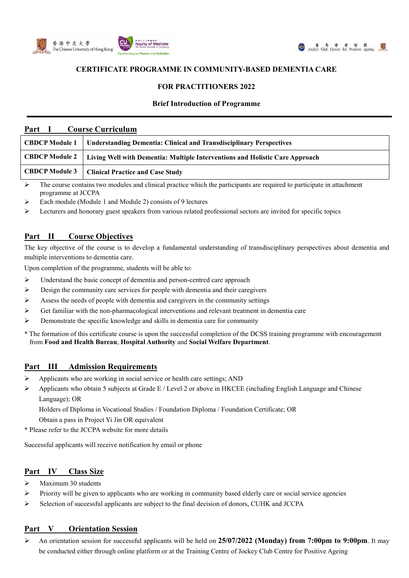



# **CERTIFICATE PROGRAMME IN COMMUNITY-BASED DEMENTIA CARE**

# **FOR PRACTITIONERS 2022**

#### **Brief Introduction of Programme**

| Part<br><b>Course Curriculum</b> |                                                                              |  |  |  |  |
|----------------------------------|------------------------------------------------------------------------------|--|--|--|--|
| <b>CBDCP Module 1</b>            | <b>Understanding Dementia: Clinical and Transdisciplinary Perspectives</b>   |  |  |  |  |
| <b>CBDCP Module 2</b>            | Living Well with Dementia: Multiple Interventions and Holistic Care Approach |  |  |  |  |
| <b>CBDCP Module 3</b>            | <b>Clinical Practice and Case Study</b>                                      |  |  |  |  |
|                                  |                                                                              |  |  |  |  |

 The course contains two modules and clinical practice which the participants are required to participate in attachment programme at JCCPA

Each module (Module 1 and Module 2) consists of 9 lectures

Lecturers and honorary guest speakers from various related professional sectors are invited for specific topics

# **Part II Course Objectives**

The key objective of the course is to develop a fundamental understanding of transdisciplinary perspectives about dementia and multiple interventions to dementia care.

Upon completion of the programme, students will be able to:

- $\triangleright$  Understand the basic concept of dementia and person-centred care approach
- $\triangleright$  Design the community care services for people with dementia and their caregivers
- Assess the needs of people with dementia and caregivers in the community settings
- $\triangleright$  Get familiar with the non-pharmacological interventions and relevant treatment in dementia care
- $\triangleright$  Demonstrate the specific knowledge and skills in dementia care for community
- \* The formation of this certificate course is upon the successful completion of the DCSS training programme with encouragement from **Food and Health Bureau**, **Hospital Authority** and **Social Welfare Department**.

## **Part III Admission Requirements**

- Applicants who are working in social service or health care settings; AND
- $\triangleright$  Applicants who obtain 5 subjects at Grade E / Level 2 or above in HKCEE (including English Language and Chinese Language); OR

Holders of Diploma in Vocational Studies / Foundation Diploma / Foundation Certificate; OR

Obtain a pass in Project Yi Jin OR equivalent

\* Please refer to the JCCPA website for more details

Successful applicants will receive notification by email or phone

## **Part IV Class Size**

- Maximum 30 students
- Priority will be given to applicants who are working in community based elderly care or social service agencies
- $\triangleright$  Selection of successful applicants are subject to the final decision of donors, CUHK and JCCPA

## **Part V Orientation Session**

 An orientation session for successful applicants will be held on **25/07/2022 (Monday) from 7:00pm to 9:00pm**. It may be conducted either through online platform or at the Training Centre of Jockey Club Centre for Positive Ageing